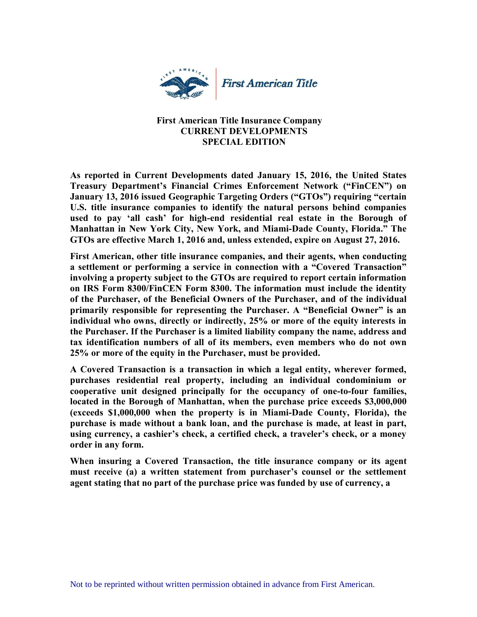

## **First American Title Insurance Company CURRENT DEVELOPMENTS SPECIAL EDITION**

**As reported in Current Developments dated January 15, 2016, the United States Treasury Department's Financial Crimes Enforcement Network ("FinCEN") on January 13, 2016 issued Geographic Targeting Orders ("GTOs") requiring "certain U.S. title insurance companies to identify the natural persons behind companies used to pay 'all cash' for high-end residential real estate in the Borough of Manhattan in New York City, New York, and Miami-Dade County, Florida." The GTOs are effective March 1, 2016 and, unless extended, expire on August 27, 2016.** 

**First American, other title insurance companies, and their agents, when conducting a settlement or performing a service in connection with a "Covered Transaction" involving a property subject to the GTOs are required to report certain information on IRS Form 8300/FinCEN Form 8300. The information must include the identity of the Purchaser, of the Beneficial Owners of the Purchaser, and of the individual primarily responsible for representing the Purchaser. A "Beneficial Owner" is an individual who owns, directly or indirectly, 25% or more of the equity interests in the Purchaser. If the Purchaser is a limited liability company the name, address and tax identification numbers of all of its members, even members who do not own 25% or more of the equity in the Purchaser, must be provided.** 

**A Covered Transaction is a transaction in which a legal entity, wherever formed, purchases residential real property, including an individual condominium or cooperative unit designed principally for the occupancy of one-to-four families, located in the Borough of Manhattan, when the purchase price exceeds \$3,000,000 (exceeds \$1,000,000 when the property is in Miami-Dade County, Florida), the purchase is made without a bank loan, and the purchase is made, at least in part, using currency, a cashier's check, a certified check, a traveler's check, or a money order in any form.** 

**When insuring a Covered Transaction, the title insurance company or its agent must receive (a) a written statement from purchaser's counsel or the settlement agent stating that no part of the purchase price was funded by use of currency, a**